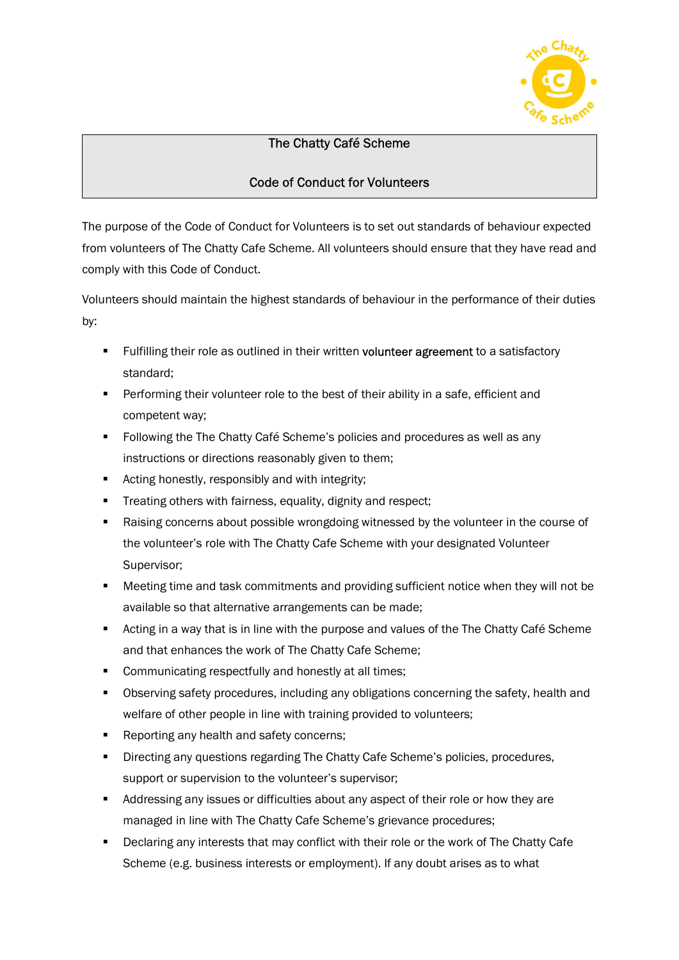

## The Chatty Café Scheme

## Code of Conduct for Volunteers

The purpose of the Code of Conduct for Volunteers is to set out standards of behaviour expected from volunteers of The Chatty Cafe Scheme. All volunteers should ensure that they have read and comply with this Code of Conduct.

Volunteers should maintain the highest standards of behaviour in the performance of their duties by:

- Fulfilling their role as outlined in their written volunteer agreement to a satisfactory standard;
- **Performing their volunteer role to the best of their ability in a safe, efficient and** competent way;
- **Following the The Chatty Café Scheme's policies and procedures as well as any** instructions or directions reasonably given to them;
- **Acting honestly, responsibly and with integrity;**
- **Treating others with fairness, equality, dignity and respect;**
- **Raising concerns about possible wrongdoing witnessed by the volunteer in the course of** the volunteer's role with The Chatty Cafe Scheme with your designated Volunteer Supervisor;
- Meeting time and task commitments and providing sufficient notice when they will not be available so that alternative arrangements can be made;
- **EXT** Acting in a way that is in line with the purpose and values of the The Chatty Café Scheme and that enhances the work of The Chatty Cafe Scheme;
- **Communicating respectfully and honestly at all times:**
- Observing safety procedures, including any obligations concerning the safety, health and welfare of other people in line with training provided to volunteers;
- **Reporting any health and safety concerns;**
- Directing any questions regarding The Chatty Cafe Scheme's policies, procedures, support or supervision to the volunteer's supervisor;
- Addressing any issues or difficulties about any aspect of their role or how they are managed in line with The Chatty Cafe Scheme's grievance procedures;
- Declaring any interests that may conflict with their role or the work of The Chatty Cafe Scheme (e.g. business interests or employment). If any doubt arises as to what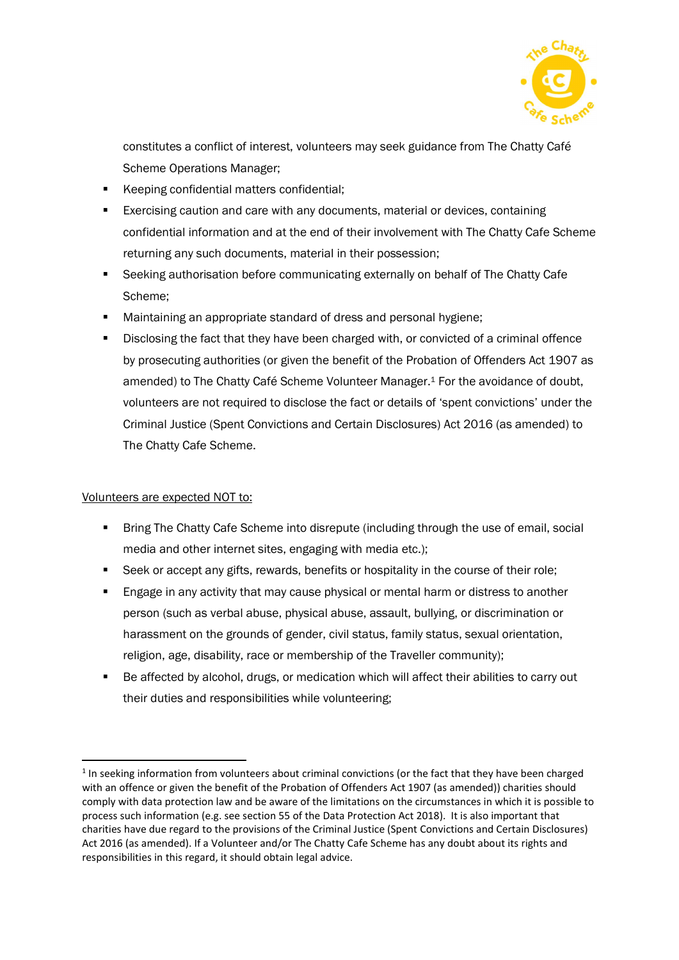

constitutes a conflict of interest, volunteers may seek guidance from The Chatty Café Scheme Operations Manager;

- Keeping confidential matters confidential:
- Exercising caution and care with any documents, material or devices, containing confidential information and at the end of their involvement with The Chatty Cafe Scheme returning any such documents, material in their possession;
- Seeking authorisation before communicating externally on behalf of The Chatty Cafe Scheme;
- **Maintaining an appropriate standard of dress and personal hygiene;**
- Disclosing the fact that they have been charged with, or convicted of a criminal offence by prosecuting authorities (or given the benefit of the Probation of Offenders Act 1907 as amended) to The Chatty Café Scheme Volunteer Manager.1 For the avoidance of doubt, volunteers are not required to disclose the fact or details of 'spent convictions' under the Criminal Justice (Spent Convictions and Certain Disclosures) Act 2016 (as amended) to The Chatty Cafe Scheme.

## Volunteers are expected NOT to:

- **Bring The Chatty Cafe Scheme into disrepute (including through the use of email, social** media and other internet sites, engaging with media etc.);
- Seek or accept any gifts, rewards, benefits or hospitality in the course of their role;
- **Engage in any activity that may cause physical or mental harm or distress to another** person (such as verbal abuse, physical abuse, assault, bullying, or discrimination or harassment on the grounds of gender, civil status, family status, sexual orientation, religion, age, disability, race or membership of the Traveller community);
- Be affected by alcohol, drugs, or medication which will affect their abilities to carry out their duties and responsibilities while volunteering;

<sup>&</sup>lt;sup>1</sup> In seeking information from volunteers about criminal convictions (or the fact that they have been charged with an offence or given the benefit of the Probation of Offenders Act 1907 (as amended)) charities should comply with data protection law and be aware of the limitations on the circumstances in which it is possible to process such information (e.g. see section 55 of the Data Protection Act 2018). It is also important that charities have due regard to the provisions of the Criminal Justice (Spent Convictions and Certain Disclosures) Act 2016 (as amended). If a Volunteer and/or The Chatty Cafe Scheme has any doubt about its rights and responsibilities in this regard, it should obtain legal advice.